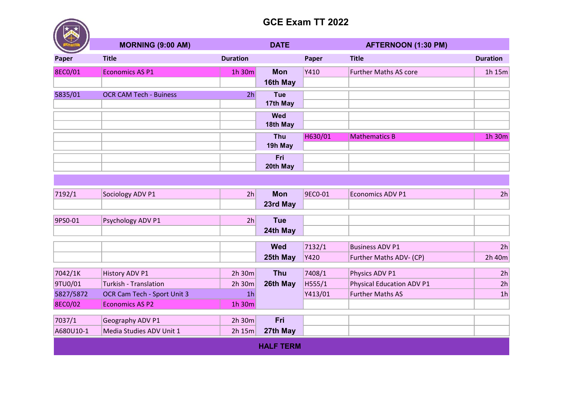## GCE Exam TT 2022

| - マン    | <b>MORNING (9:00 AM)</b>      |                 | <b>DATE</b> |         | <b>AFTERNOON (1:30 PM)</b>   |                 |
|---------|-------------------------------|-----------------|-------------|---------|------------------------------|-----------------|
| Paper   | <b>Title</b>                  | <b>Duration</b> |             | Paper   | <b>Title</b>                 | <b>Duration</b> |
| 8EC0/01 | <b>Economics AS P1</b>        | 1h 30m          | <b>Mon</b>  | Y410    | <b>Further Maths AS core</b> | 1h $15m$        |
|         |                               |                 | 16th May    |         |                              |                 |
| 5835/01 | <b>OCR CAM Tech - Buiness</b> | 2 <sub>h</sub>  | Tue         |         |                              |                 |
|         |                               |                 | 17th May    |         |                              |                 |
|         |                               |                 | <b>Wed</b>  |         |                              |                 |
|         |                               |                 | 18th May    |         |                              |                 |
|         |                               |                 | Thu         | H630/01 | <b>Mathematics B</b>         | 1h 30m          |
|         |                               |                 | 19h May     |         |                              |                 |
|         |                               |                 | Fri         |         |                              |                 |
|         |                               |                 | 20th May    |         |                              |                 |

| 7192/1           | Sociology ADV P1             | 2h             | <b>Mon</b> | 9EC0-01 | <b>Economics ADV P1</b>          | 2h             |  |  |  |
|------------------|------------------------------|----------------|------------|---------|----------------------------------|----------------|--|--|--|
|                  |                              |                | 23rd May   |         |                                  |                |  |  |  |
|                  |                              |                |            |         |                                  |                |  |  |  |
| 9PS0-01          | Psychology ADV P1            | 2 <sub>h</sub> | <b>Tue</b> |         |                                  |                |  |  |  |
|                  |                              |                | 24th May   |         |                                  |                |  |  |  |
|                  |                              |                |            |         |                                  |                |  |  |  |
|                  |                              |                | <b>Wed</b> | 7132/1  | <b>Business ADV P1</b>           | 2h             |  |  |  |
|                  |                              |                | 25th May   | Y420    | Further Maths ADV- (CP)          | 2h 40m         |  |  |  |
|                  |                              |                |            |         |                                  |                |  |  |  |
| 7042/1K          | <b>History ADV P1</b>        | 2h 30m         | <b>Thu</b> | 7408/1  | Physics ADV P1                   | 2h             |  |  |  |
| 9TU0/01          | <b>Turkish - Translation</b> | 2h 30m         | 26th May   | H555/1  | <b>Physical Education ADV P1</b> | 2 <sub>h</sub> |  |  |  |
| 5827/5872        | OCR Cam Tech - Sport Unit 3  | 1 <sub>h</sub> |            | Y413/01 | <b>Further Maths AS</b>          | 1 <sub>h</sub> |  |  |  |
| 8EC0/02          | <b>Economics AS P2</b>       | 1h 30m         |            |         |                                  |                |  |  |  |
|                  |                              |                |            |         |                                  |                |  |  |  |
| 7037/1           | Geography ADV P1             | 2h 30m         | Fri        |         |                                  |                |  |  |  |
| A680U10-1        | Media Studies ADV Unit 1     | 2h 15m         | 27th May   |         |                                  |                |  |  |  |
| <b>HALF TERM</b> |                              |                |            |         |                                  |                |  |  |  |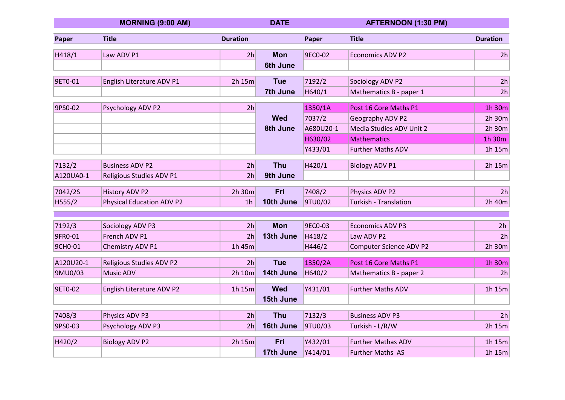|           | <b>MORNING (9:00 AM)</b>         |                 | <b>DATE</b>     |           | <b>AFTERNOON (1:30 PM)</b>     |                 |
|-----------|----------------------------------|-----------------|-----------------|-----------|--------------------------------|-----------------|
| Paper     | <b>Title</b>                     | <b>Duration</b> |                 | Paper     | <b>Title</b>                   | <b>Duration</b> |
| H418/1    | Law ADV P1                       | 2h              | <b>Mon</b>      | 9EC0-02   | Economics ADV P2               | 2h              |
|           |                                  |                 | <b>6th June</b> |           |                                |                 |
| 9ET0-01   | English Literature ADV P1        | 2h 15m          | <b>Tue</b>      | 7192/2    | Sociology ADV P2               | 2h              |
|           |                                  |                 | 7th June        | H640/1    | Mathematics B - paper 1        | 2h              |
| 9PS0-02   | Psychology ADV P2                | 2h              |                 | 1350/1A   | Post 16 Core Maths P1          | 1h 30m          |
|           |                                  |                 | <b>Wed</b>      | 7037/2    | Geography ADV P2               | 2h 30m          |
|           |                                  |                 | 8th June        | A680U20-1 | Media Studies ADV Unit 2       | 2h 30m          |
|           |                                  |                 |                 | H630/02   | <b>Mathematics</b>             | 1h 30m          |
|           |                                  |                 |                 | Y433/01   | <b>Further Maths ADV</b>       | 1h 15m          |
| 7132/2    | <b>Business ADV P2</b>           | 2 <sub>h</sub>  | <b>Thu</b>      | H420/1    | <b>Biology ADV P1</b>          | 2h 15m          |
| A120UA0-1 | Religious Studies ADV P1         | 2h              | 9th June        |           |                                |                 |
|           |                                  |                 |                 |           |                                |                 |
| 7042/2S   | <b>History ADV P2</b>            | 2h 30m          | Fri             | 7408/2    | Physics ADV P2                 | 2h              |
| H555/2    | <b>Physical Education ADV P2</b> | 1 <sub>h</sub>  | 10th June       | 9TU0/02   | <b>Turkish - Translation</b>   | 2h 40m          |
|           |                                  |                 |                 |           |                                |                 |
| 7192/3    | Sociology ADV P3                 | 2h              | <b>Mon</b>      | 9EC0-03   | <b>Economics ADV P3</b>        | 2h              |
| 9FR0-01   | French ADV P1                    | 2h              | 13th June       | H418/2    | Law ADV P2                     | 2h              |
| 9CH0-01   | Chemistry ADV P1                 | 1h 45m          |                 | H446/2    | <b>Computer Science ADV P2</b> | 2h 30m          |
|           |                                  |                 |                 |           |                                |                 |
| A120U20-1 | Religious Studies ADV P2         | 2h              | <b>Tue</b>      | 1350/2A   | Post 16 Core Maths P1          | 1h 30m          |
| 9MU0/03   | <b>Music ADV</b>                 | 2h 10m          | 14th June       | H640/2    | Mathematics B - paper 2        | 2h              |
| 9ET0-02   | English Literature ADV P2        | 1h 15m          | <b>Wed</b>      | Y431/01   | <b>Further Maths ADV</b>       | 1h 15m          |
|           |                                  |                 | 15th June       |           |                                |                 |
| 7408/3    | Physics ADV P3                   | 2 <sub>h</sub>  | <b>Thu</b>      | 7132/3    | <b>Business ADV P3</b>         | 2h              |
| 9PS0-03   | Psychology ADV P3                | 2h              | 16th June       | 9TU0/03   | Turkish - L/R/W                | 2h 15m          |
|           |                                  |                 |                 |           |                                |                 |
| H420/2    | <b>Biology ADV P2</b>            | 2h 15m          | Fri             | Y432/01   | <b>Further Mathas ADV</b>      | 1h 15m          |
|           |                                  |                 | 17th June       | Y414/01   | <b>Further Maths AS</b>        | 1h 15m          |